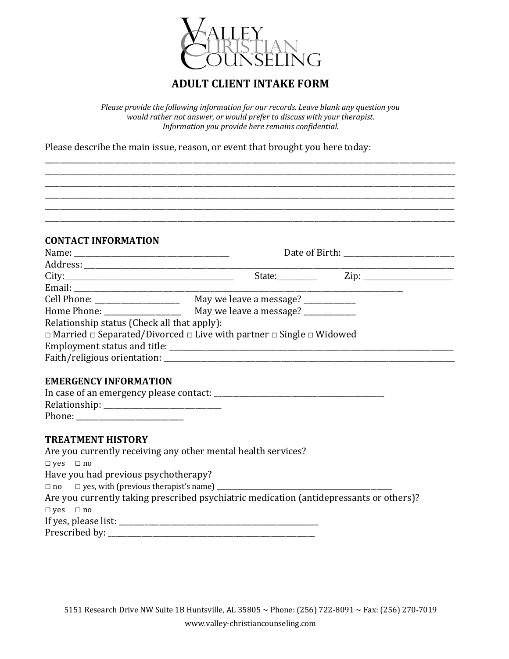

## **ADULT CLIENT INTAKE FORM**

*Please provide the following information for our records. Leave blank any question you would rather not answer, or would prefer to discuss with your therapist. Information you provide here remains confidential.*

\_\_\_\_\_\_\_\_\_\_\_\_\_\_\_\_\_\_\_\_\_\_\_\_\_\_\_\_\_\_\_\_\_\_\_\_\_\_\_\_\_\_\_\_\_\_\_\_\_\_\_\_\_\_\_\_\_\_\_\_\_\_\_\_\_\_\_\_\_\_\_\_\_\_\_\_\_\_\_\_\_\_\_\_\_\_\_\_\_\_\_\_\_\_\_\_\_\_\_\_\_\_\_\_\_\_\_\_\_\_\_ \_\_\_\_\_\_\_\_\_\_\_\_\_\_\_\_\_\_\_\_\_\_\_\_\_\_\_\_\_\_\_\_\_\_\_\_\_\_\_\_\_\_\_\_\_\_\_\_\_\_\_\_\_\_\_\_\_\_\_\_\_\_\_\_\_\_\_\_\_\_\_\_\_\_\_\_\_\_\_\_\_\_\_\_\_\_\_\_\_\_\_\_\_\_\_\_\_\_\_\_\_\_\_\_\_\_\_\_\_\_\_ \_\_\_\_\_\_\_\_\_\_\_\_\_\_\_\_\_\_\_\_\_\_\_\_\_\_\_\_\_\_\_\_\_\_\_\_\_\_\_\_\_\_\_\_\_\_\_\_\_\_\_\_\_\_\_\_\_\_\_\_\_\_\_\_\_\_\_\_\_\_\_\_\_\_\_\_\_\_\_\_\_\_\_\_\_\_\_\_\_\_\_\_\_\_\_\_\_\_\_\_\_\_\_\_\_\_\_\_\_\_\_ \_\_\_\_\_\_\_\_\_\_\_\_\_\_\_\_\_\_\_\_\_\_\_\_\_\_\_\_\_\_\_\_\_\_\_\_\_\_\_\_\_\_\_\_\_\_\_\_\_\_\_\_\_\_\_\_\_\_\_\_\_\_\_\_\_\_\_\_\_\_\_\_\_\_\_\_\_\_\_\_\_\_\_\_\_\_\_\_\_\_\_\_\_\_\_\_\_\_\_\_\_\_\_\_\_\_\_\_\_\_\_ \_\_\_\_\_\_\_\_\_\_\_\_\_\_\_\_\_\_\_\_\_\_\_\_\_\_\_\_\_\_\_\_\_\_\_\_\_\_\_\_\_\_\_\_\_\_\_\_\_\_\_\_\_\_\_\_\_\_\_\_\_\_\_\_\_\_\_\_\_\_\_\_\_\_\_\_\_\_\_\_\_\_\_\_\_\_\_\_\_\_\_\_\_\_\_\_\_\_\_\_\_\_\_\_\_\_\_\_\_\_\_ \_\_\_\_\_\_\_\_\_\_\_\_\_\_\_\_\_\_\_\_\_\_\_\_\_\_\_\_\_\_\_\_\_\_\_\_\_\_\_\_\_\_\_\_\_\_\_\_\_\_\_\_\_\_\_\_\_\_\_\_\_\_\_\_\_\_\_\_\_\_\_\_\_\_\_\_\_\_\_\_\_\_\_\_\_\_\_\_\_\_\_\_\_\_\_\_\_\_\_\_\_\_\_\_\_\_\_\_\_\_\_

Please describe the main issue, reason, or event that brought you here today:

#### **CONTACT INFORMATION**

| City:                                       | State:                                                                                         | $\overline{\mathrm{Zip: }}$ |  |
|---------------------------------------------|------------------------------------------------------------------------------------------------|-----------------------------|--|
|                                             |                                                                                                |                             |  |
|                                             |                                                                                                |                             |  |
|                                             | Home Phone: May we leave a message?                                                            |                             |  |
| Relationship status (Check all that apply): |                                                                                                |                             |  |
|                                             | $\Box$ Married $\Box$ Separated/Divorced $\Box$ Live with partner $\Box$ Single $\Box$ Widowed |                             |  |
|                                             |                                                                                                |                             |  |
|                                             |                                                                                                |                             |  |

#### **EMERGENCY INFORMATION**

| In case of an emergency please contact: |  |
|-----------------------------------------|--|
| Relationship: _                         |  |
| Phone:                                  |  |

### **TREATMENT HISTORY**

| Are you currently receiving any other mental health services?                           |
|-----------------------------------------------------------------------------------------|
| $\Box$ yes $\Box$ no                                                                    |
| Have you had previous psychotherapy?                                                    |
| $\Box$ no $\Box$ yes, with (previous therapist's name) _______                          |
| Are you currently taking prescribed psychiatric medication (antidepressants or others)? |
| $\Box$ yes $\Box$ no                                                                    |
|                                                                                         |
| Prescribed by: __                                                                       |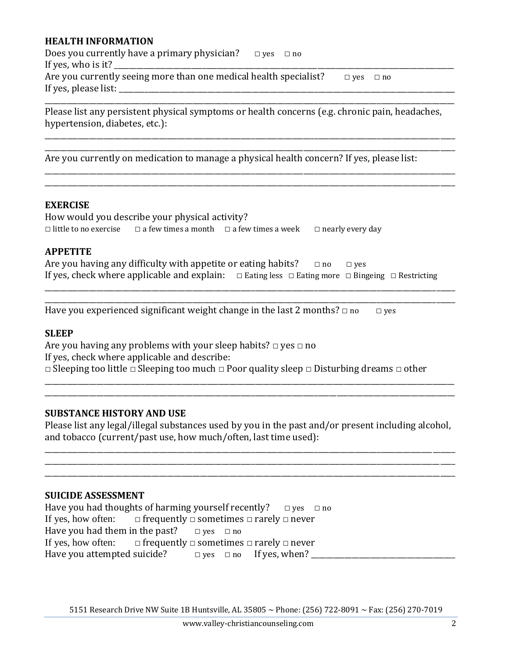### **HEALTH INFORMATION**

| Does you currently have a primary physician?                                              | $\Box$ yes $\Box$ no |                      |  |
|-------------------------------------------------------------------------------------------|----------------------|----------------------|--|
|                                                                                           |                      |                      |  |
| Are you currently seeing more than one medical health specialist?<br>If yes, please list: |                      | $\Box$ ves $\Box$ no |  |
|                                                                                           |                      |                      |  |

Please list any persistent physical symptoms or health concerns (e.g. chronic pain, headaches, hypertension, diabetes, etc.):

\_\_\_\_\_\_\_\_\_\_\_\_\_\_\_\_\_\_\_\_\_\_\_\_\_\_\_\_\_\_\_\_\_\_\_\_\_\_\_\_\_\_\_\_\_\_\_\_\_\_\_\_\_\_\_\_\_\_\_\_\_\_\_\_\_\_\_\_\_\_\_\_\_\_\_\_\_\_\_\_\_\_\_\_\_\_\_\_\_\_\_\_\_\_\_\_\_\_\_\_\_\_\_\_\_\_\_\_\_\_\_ \_\_\_\_\_\_\_\_\_\_\_\_\_\_\_\_\_\_\_\_\_\_\_\_\_\_\_\_\_\_\_\_\_\_\_\_\_\_\_\_\_\_\_\_\_\_\_\_\_\_\_\_\_\_\_\_\_\_\_\_\_\_\_\_\_\_\_\_\_\_\_\_\_\_\_\_\_\_\_\_\_\_\_\_\_\_\_\_\_\_\_\_\_\_\_\_\_\_\_\_\_\_\_\_\_\_\_\_\_\_\_

\_\_\_\_\_\_\_\_\_\_\_\_\_\_\_\_\_\_\_\_\_\_\_\_\_\_\_\_\_\_\_\_\_\_\_\_\_\_\_\_\_\_\_\_\_\_\_\_\_\_\_\_\_\_\_\_\_\_\_\_\_\_\_\_\_\_\_\_\_\_\_\_\_\_\_\_\_\_\_\_\_\_\_\_\_\_\_\_\_\_\_\_\_\_\_\_\_\_\_\_\_\_\_\_\_\_\_\_\_\_\_ \_\_\_\_\_\_\_\_\_\_\_\_\_\_\_\_\_\_\_\_\_\_\_\_\_\_\_\_\_\_\_\_\_\_\_\_\_\_\_\_\_\_\_\_\_\_\_\_\_\_\_\_\_\_\_\_\_\_\_\_\_\_\_\_\_\_\_\_\_\_\_\_\_\_\_\_\_\_\_\_\_\_\_\_\_\_\_\_\_\_\_\_\_\_\_\_\_\_\_\_\_\_\_\_\_\_\_\_\_\_\_

Are you currently on medication to manage a physical health concern? If yes, please list:

#### **EXERCISE**

How would you describe your physical activity? □ little to no exercise □ a few times a month □ a few times a week □ nearly every day

#### **APPETITE**

| Are you having any difficulty with appetite or eating habits?                                                        | $\Box$ no | $\Box$ ves |  |
|----------------------------------------------------------------------------------------------------------------------|-----------|------------|--|
| If yes, check where applicable and explain: $\Box$ Eating less $\Box$ Eating more $\Box$ Bingeing $\Box$ Restricting |           |            |  |

\_\_\_\_\_\_\_\_\_\_\_\_\_\_\_\_\_\_\_\_\_\_\_\_\_\_\_\_\_\_\_\_\_\_\_\_\_\_\_\_\_\_\_\_\_\_\_\_\_\_\_\_\_\_\_\_\_\_\_\_\_\_\_\_\_\_\_\_\_\_\_\_\_\_\_\_\_\_\_\_\_\_\_\_\_\_\_\_\_\_\_\_\_\_\_\_\_\_\_\_\_\_\_\_\_\_\_\_\_\_\_ \_\_\_\_\_\_\_\_\_\_\_\_\_\_\_\_\_\_\_\_\_\_\_\_\_\_\_\_\_\_\_\_\_\_\_\_\_\_\_\_\_\_\_\_\_\_\_\_\_\_\_\_\_\_\_\_\_\_\_\_\_\_\_\_\_\_\_\_\_\_\_\_\_\_\_\_\_\_\_\_\_\_\_\_\_\_\_\_\_\_\_\_\_\_\_\_\_\_\_\_\_\_\_\_\_\_\_\_\_\_\_

Have you experienced significant weight change in the last 2 months?  $\Box$  no  $\Box$  yes

#### **SLEEP**

Are you having any problems with your sleep habits?  $\Box$  yes  $\Box$  no If yes, check where applicable and describe: □ Sleeping too little □ Sleeping too much □ Poor quality sleep □ Disturbing dreams □ other

#### **SUBSTANCE HISTORY AND USE**

Please list any legal/illegal substances used by you in the past and/or present including alcohol, and tobacco (current/past use, how much/often, last time used):

\_\_\_\_\_\_\_\_\_\_\_\_\_\_\_\_\_\_\_\_\_\_\_\_\_\_\_\_\_\_\_\_\_\_\_\_\_\_\_\_\_\_\_\_\_\_\_\_\_\_\_\_\_\_\_\_\_\_\_\_\_\_\_\_\_\_\_\_\_\_\_\_\_\_\_\_\_\_\_\_\_\_\_\_\_\_\_\_\_\_\_\_\_\_\_\_\_\_\_\_\_\_\_\_\_\_\_\_\_\_\_ \_\_\_\_\_\_\_\_\_\_\_\_\_\_\_\_\_\_\_\_\_\_\_\_\_\_\_\_\_\_\_\_\_\_\_\_\_\_\_\_\_\_\_\_\_\_\_\_\_\_\_\_\_\_\_\_\_\_\_\_\_\_\_\_\_\_\_\_\_\_\_\_\_\_\_\_\_\_\_\_\_\_\_\_\_\_\_\_\_\_\_\_\_\_\_\_\_\_\_\_\_\_\_\_\_\_\_\_\_\_\_ \_\_\_\_\_\_\_\_\_\_\_\_\_\_\_\_\_\_\_\_\_\_\_\_\_\_\_\_\_\_\_\_\_\_\_\_\_\_\_\_\_\_\_\_\_\_\_\_\_\_\_\_\_\_\_\_\_\_\_\_\_\_\_\_\_\_\_\_\_\_\_\_\_\_\_\_\_\_\_\_\_\_\_\_\_\_\_\_\_\_\_\_\_\_\_\_\_\_\_\_\_\_\_\_\_\_\_\_\_\_\_

\_\_\_\_\_\_\_\_\_\_\_\_\_\_\_\_\_\_\_\_\_\_\_\_\_\_\_\_\_\_\_\_\_\_\_\_\_\_\_\_\_\_\_\_\_\_\_\_\_\_\_\_\_\_\_\_\_\_\_\_\_\_\_\_\_\_\_\_\_\_\_\_\_\_\_\_\_\_\_\_\_\_\_\_\_\_\_\_\_\_\_\_\_\_\_\_\_\_\_\_\_\_\_\_\_\_\_\_\_\_\_ \_\_\_\_\_\_\_\_\_\_\_\_\_\_\_\_\_\_\_\_\_\_\_\_\_\_\_\_\_\_\_\_\_\_\_\_\_\_\_\_\_\_\_\_\_\_\_\_\_\_\_\_\_\_\_\_\_\_\_\_\_\_\_\_\_\_\_\_\_\_\_\_\_\_\_\_\_\_\_\_\_\_\_\_\_\_\_\_\_\_\_\_\_\_\_\_\_\_\_\_\_\_\_\_\_\_\_\_\_\_\_

### **SUICIDE ASSESSMENT**

| Have you had thoughts of harming yourself recently? $\Box$ yes $\Box$ no         |  |                                    |  |  |
|----------------------------------------------------------------------------------|--|------------------------------------|--|--|
| If yes, how often: $\Box$ frequently $\Box$ sometimes $\Box$ rarely $\Box$ never |  |                                    |  |  |
| Have you had them in the past? $\Box$ yes $\Box$ no                              |  |                                    |  |  |
| If yes, how often: $\Box$ frequently $\Box$ sometimes $\Box$ rarely $\Box$ never |  |                                    |  |  |
| Have you attempted suicide?                                                      |  | $\Box$ yes $\Box$ no If yes, when? |  |  |

5151 Research Drive NW Suite 1B Huntsville, AL 35805 ~ Phone: (256) 722-8091 ~ Fax: (256) 270-7019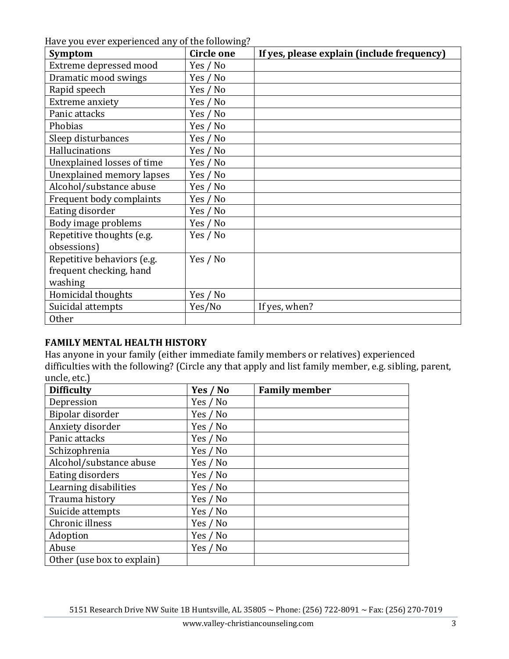Have you ever experienced any of the following?

| rave you over experienced any or the rond wing.<br><b>Symptom</b> | <b>Circle one</b> | If yes, please explain (include frequency) |
|-------------------------------------------------------------------|-------------------|--------------------------------------------|
| Extreme depressed mood                                            | Yes / No          |                                            |
| Dramatic mood swings                                              | Yes / No          |                                            |
| Rapid speech                                                      | Yes / No          |                                            |
| Extreme anxiety                                                   | Yes / No          |                                            |
| Panic attacks                                                     | Yes / No          |                                            |
| Phobias                                                           | Yes / No          |                                            |
| Sleep disturbances                                                | Yes / No          |                                            |
| Hallucinations                                                    | Yes / No          |                                            |
| Unexplained losses of time                                        | Yes / No          |                                            |
| Unexplained memory lapses                                         | Yes / No          |                                            |
| Alcohol/substance abuse                                           | Yes / No          |                                            |
| Frequent body complaints                                          | Yes / No          |                                            |
| Eating disorder                                                   | Yes / No          |                                            |
| Body image problems                                               | Yes / No          |                                            |
| Repetitive thoughts (e.g.                                         | Yes / No          |                                            |
| obsessions)                                                       |                   |                                            |
| Repetitive behaviors (e.g.                                        | Yes / No          |                                            |
| frequent checking, hand                                           |                   |                                            |
| washing                                                           |                   |                                            |
| Homicidal thoughts                                                | Yes / No          |                                            |
| Suicidal attempts                                                 | Yes/No            | If yes, when?                              |
| <b>Other</b>                                                      |                   |                                            |

# **FAMILY MENTAL HEALTH HISTORY**

Has anyone in your family (either immediate family members or relatives) experienced difficulties with the following? (Circle any that apply and list family member, e.g. sibling, parent, uncle, etc.)

| <b>Difficulty</b>          | Yes / No | <b>Family member</b> |
|----------------------------|----------|----------------------|
| Depression                 | Yes / No |                      |
| Bipolar disorder           | Yes / No |                      |
| Anxiety disorder           | Yes / No |                      |
| Panic attacks              | Yes / No |                      |
| Schizophrenia              | Yes / No |                      |
| Alcohol/substance abuse    | Yes / No |                      |
| Eating disorders           | Yes / No |                      |
| Learning disabilities      | Yes / No |                      |
| Trauma history             | Yes / No |                      |
| Suicide attempts           | Yes / No |                      |
| Chronic illness            | Yes / No |                      |
| Adoption                   | Yes / No |                      |
| Abuse                      | Yes / No |                      |
| Other (use box to explain) |          |                      |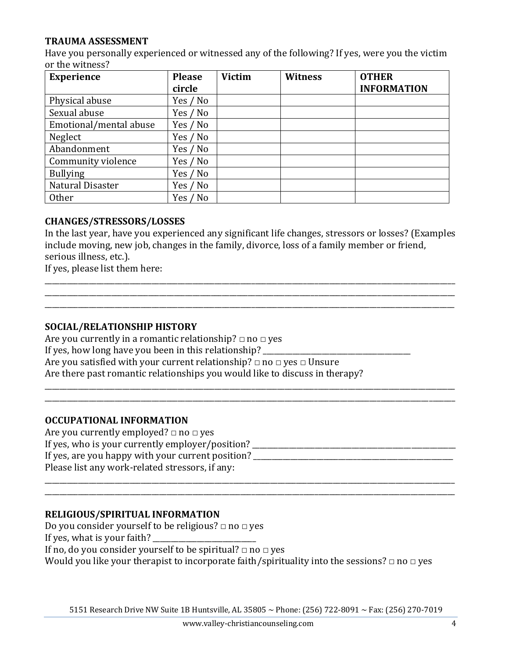## **TRAUMA ASSESSMENT**

Have you personally experienced or witnessed any of the following? If yes, were you the victim or the witness?

| <b>Experience</b>      | <b>Please</b> | <b>Victim</b> | <b>Witness</b> | <b>OTHER</b>       |
|------------------------|---------------|---------------|----------------|--------------------|
|                        | circle        |               |                | <b>INFORMATION</b> |
| Physical abuse         | Yes / No      |               |                |                    |
| Sexual abuse           | Yes / No      |               |                |                    |
| Emotional/mental abuse | Yes / No      |               |                |                    |
| Neglect                | Yes / No      |               |                |                    |
| Abandonment            | Yes / No      |               |                |                    |
| Community violence     | Yes / No      |               |                |                    |
| <b>Bullying</b>        | Yes / No      |               |                |                    |
| Natural Disaster       | Yes / No      |               |                |                    |
| Other                  | Yes / No      |               |                |                    |

### **CHANGES/STRESSORS/LOSSES**

In the last year, have you experienced any significant life changes, stressors or losses? (Examples include moving, new job, changes in the family, divorce, loss of a family member or friend, serious illness, etc.).

\_\_\_\_\_\_\_\_\_\_\_\_\_\_\_\_\_\_\_\_\_\_\_\_\_\_\_\_\_\_\_\_\_\_\_\_\_\_\_\_\_\_\_\_\_\_\_\_\_\_\_\_\_\_\_\_\_\_\_\_\_\_\_\_\_\_\_\_\_\_\_\_\_\_\_\_\_\_\_\_\_\_\_\_\_\_\_\_\_\_\_\_\_\_\_\_\_\_\_\_\_\_\_\_\_\_\_\_\_\_\_ \_\_\_\_\_\_\_\_\_\_\_\_\_\_\_\_\_\_\_\_\_\_\_\_\_\_\_\_\_\_\_\_\_\_\_\_\_\_\_\_\_\_\_\_\_\_\_\_\_\_\_\_\_\_\_\_\_\_\_\_\_\_\_\_\_\_\_\_\_\_\_\_\_\_\_\_\_\_\_\_\_\_\_\_\_\_\_\_\_\_\_\_\_\_\_\_\_\_\_\_\_\_\_\_\_\_\_\_\_\_\_ \_\_\_\_\_\_\_\_\_\_\_\_\_\_\_\_\_\_\_\_\_\_\_\_\_\_\_\_\_\_\_\_\_\_\_\_\_\_\_\_\_\_\_\_\_\_\_\_\_\_\_\_\_\_\_\_\_\_\_\_\_\_\_\_\_\_\_\_\_\_\_\_\_\_\_\_\_\_\_\_\_\_\_\_\_\_\_\_\_\_\_\_\_\_\_\_\_\_\_\_\_\_\_\_\_\_\_\_\_\_\_

If yes, please list them here:

#### **SOCIAL/RELATIONSHIP HISTORY**

Are you currently in a romantic relationship?  $\Box$  no  $\Box$  yes If yes, how long have you been in this relationship? Are you satisfied with your current relationship?  $\Box$  no  $\Box$  yes  $\Box$  Unsure Are there past romantic relationships you would like to discuss in therapy?

#### **OCCUPATIONAL INFORMATION**

Are you currently employed?  $\Box$  no  $\Box$  yes If yes, who is your currently employer/position? \_\_\_\_\_\_\_\_\_\_\_\_\_\_\_\_\_\_\_\_\_\_\_\_\_\_\_\_\_\_\_\_\_\_\_\_\_\_\_\_\_\_\_\_\_\_\_\_\_\_\_\_\_\_\_ If yes, are you happy with your current position? \_\_\_\_\_\_\_\_\_\_\_\_\_\_\_\_\_\_\_\_\_\_\_\_\_\_\_\_\_\_\_\_\_\_\_\_\_\_\_\_\_\_\_\_\_\_\_\_\_\_\_\_\_\_ Please list any work-related stressors, if any:

\_\_\_\_\_\_\_\_\_\_\_\_\_\_\_\_\_\_\_\_\_\_\_\_\_\_\_\_\_\_\_\_\_\_\_\_\_\_\_\_\_\_\_\_\_\_\_\_\_\_\_\_\_\_\_\_\_\_\_\_\_\_\_\_\_\_\_\_\_\_\_\_\_\_\_\_\_\_\_\_\_\_\_\_\_\_\_\_\_\_\_\_\_\_\_\_\_\_\_\_\_\_\_\_\_\_\_\_\_\_\_ \_\_\_\_\_\_\_\_\_\_\_\_\_\_\_\_\_\_\_\_\_\_\_\_\_\_\_\_\_\_\_\_\_\_\_\_\_\_\_\_\_\_\_\_\_\_\_\_\_\_\_\_\_\_\_\_\_\_\_\_\_\_\_\_\_\_\_\_\_\_\_\_\_\_\_\_\_\_\_\_\_\_\_\_\_\_\_\_\_\_\_\_\_\_\_\_\_\_\_\_\_\_\_\_\_\_\_\_\_\_\_

\_\_\_\_\_\_\_\_\_\_\_\_\_\_\_\_\_\_\_\_\_\_\_\_\_\_\_\_\_\_\_\_\_\_\_\_\_\_\_\_\_\_\_\_\_\_\_\_\_\_\_\_\_\_\_\_\_\_\_\_\_\_\_\_\_\_\_\_\_\_\_\_\_\_\_\_\_\_\_\_\_\_\_\_\_\_\_\_\_\_\_\_\_\_\_\_\_\_\_\_\_\_\_\_\_\_\_\_\_\_\_ \_\_\_\_\_\_\_\_\_\_\_\_\_\_\_\_\_\_\_\_\_\_\_\_\_\_\_\_\_\_\_\_\_\_\_\_\_\_\_\_\_\_\_\_\_\_\_\_\_\_\_\_\_\_\_\_\_\_\_\_\_\_\_\_\_\_\_\_\_\_\_\_\_\_\_\_\_\_\_\_\_\_\_\_\_\_\_\_\_\_\_\_\_\_\_\_\_\_\_\_\_\_\_\_\_\_\_\_\_\_\_

#### **RELIGIOUS/SPIRITUAL INFORMATION**

Do you consider yourself to be religious?  $\Box$  no  $\Box$  yes

If yes, what is your faith?

If no, do you consider yourself to be spiritual?  $\Box$  no  $\Box$  yes

Would you like your therapist to incorporate faith/spirituality into the sessions?  $\Box$  no  $\Box$  yes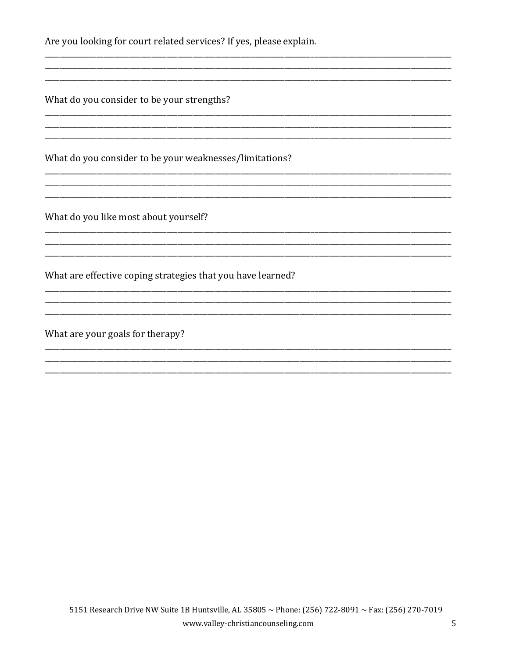Are you looking for court related services? If yes, please explain.

What do you consider to be your strengths?

What do you consider to be your weaknesses/limitations?

What do you like most about yourself?

What are effective coping strategies that you have learned?

What are your goals for therapy?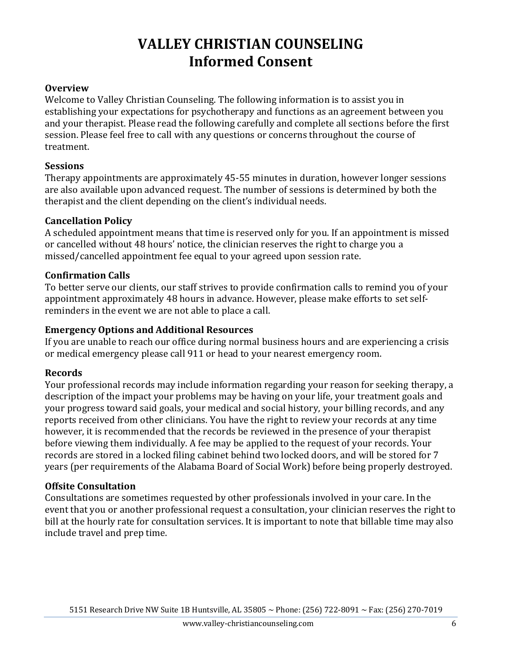# **VALLEY CHRISTIAN COUNSELING Informed Consent**

## **Overview**

Welcome to Valley Christian Counseling. The following information is to assist you in establishing your expectations for psychotherapy and functions as an agreement between you and your therapist. Please read the following carefully and complete all sections before the first session. Please feel free to call with any questions or concerns throughout the course of treatment.

### **Sessions**

Therapy appointments are approximately 45-55 minutes in duration, however longer sessions are also available upon advanced request. The number of sessions is determined by both the therapist and the client depending on the client's individual needs.

## **Cancellation Policy**

A scheduled appointment means that time is reserved only for you. If an appointment is missed or cancelled without 48 hours' notice, the clinician reserves the right to charge you a missed/cancelled appointment fee equal to your agreed upon session rate.

### **Confirmation Calls**

To better serve our clients, our staff strives to provide confirmation calls to remind you of your appointment approximately 48 hours in advance. However, please make efforts to set selfreminders in the event we are not able to place a call.

### **Emergency Options and Additional Resources**

If you are unable to reach our office during normal business hours and are experiencing a crisis or medical emergency please call 911 or head to your nearest emergency room.

### **Records**

Your professional records may include information regarding your reason for seeking therapy, a description of the impact your problems may be having on your life, your treatment goals and your progress toward said goals, your medical and social history, your billing records, and any reports received from other clinicians. You have the right to review your records at any time however, it is recommended that the records be reviewed in the presence of your therapist before viewing them individually. A fee may be applied to the request of your records. Your records are stored in a locked filing cabinet behind two locked doors, and will be stored for 7 years (per requirements of the Alabama Board of Social Work) before being properly destroyed.

### **Offsite Consultation**

Consultations are sometimes requested by other professionals involved in your care. In the event that you or another professional request a consultation, your clinician reserves the right to bill at the hourly rate for consultation services. It is important to note that billable time may also include travel and prep time.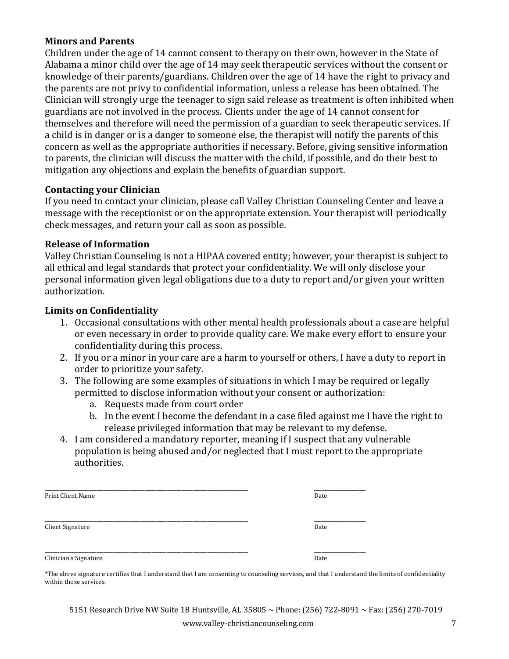## **Minors and Parents**

Children under the age of 14 cannot consent to therapy on their own, however in the State of Alabama a minor child over the age of 14 may seek therapeutic services without the consent or knowledge of their parents/guardians. Children over the age of 14 have the right to privacy and the parents are not privy to confidential information, unless a release has been obtained. The Clinician will strongly urge the teenager to sign said release as treatment is often inhibited when guardians are not involved in the process. Clients under the age of 14 cannot consent for themselves and therefore will need the permission of a guardian to seek therapeutic services. If a child is in danger or is a danger to someone else, the therapist will notify the parents of this concern as well as the appropriate authorities if necessary. Before, giving sensitive information to parents, the clinician will discuss the matter with the child, if possible, and do their best to mitigation any objections and explain the benefits of guardian support.

### **Contacting your Clinician**

If you need to contact your clinician, please call Valley Christian Counseling Center and leave a message with the receptionist or on the appropriate extension. Your therapist will periodically check messages, and return your call as soon as possible.

### **Release of Information**

Valley Christian Counseling is not a HIPAA covered entity; however, your therapist is subject to all ethical and legal standards that protect your confidentiality. We will only disclose your personal information given legal obligations due to a duty to report and/or given your written authorization.

### **Limits on Confidentiality**

- 1. Occasional consultations with other mental health professionals about a case are helpful or even necessary in order to provide quality care. We make every effort to ensure your confidentiality during this process.
- 2. If you or a minor in your care are a harm to yourself or others, I have a duty to report in order to prioritize your safety.
- 3. The following are some examples of situations in which I may be required or legally permitted to disclose information without your consent or authorization:
	- a. Requests made from court order
	- b. In the event I become the defendant in a case filed against me I have the right to release privileged information that may be relevant to my defense.
- 4. I am considered a mandatory reporter, meaning if I suspect that any vulnerable population is being abused and/or neglected that I must report to the appropriate authorities.

| Print Client Name     | Date |
|-----------------------|------|
|                       |      |
| Client Signature      | Date |
|                       |      |
| Clinician's Signature | Date |

\*The above signature certifies that I understand that I am consenting to counseling services, and that I understand the limits of confidentiality within those services.

5151 Research Drive NW Suite 1B Huntsville, AL 35805 ~ Phone: (256) 722-8091 ~ Fax: (256) 270-7019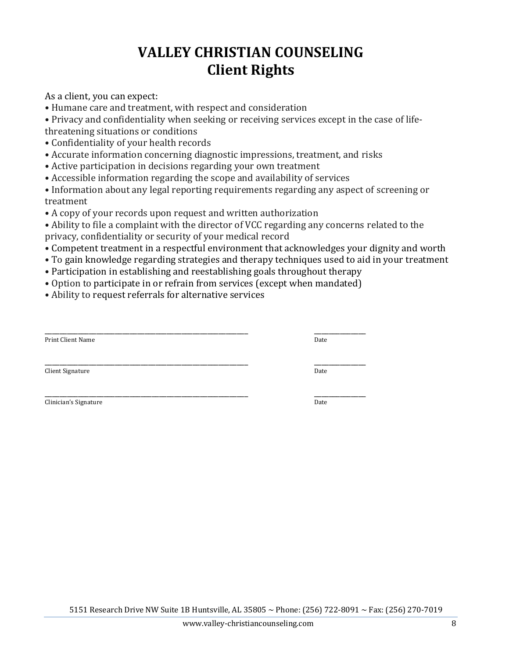# **VALLEY CHRISTIAN COUNSELING Client Rights**

As a client, you can expect:

• Humane care and treatment, with respect and consideration

• Privacy and confidentiality when seeking or receiving services except in the case of lifethreatening situations or conditions

- Confidentiality of your health records
- Accurate information concerning diagnostic impressions, treatment, and risks
- Active participation in decisions regarding your own treatment
- Accessible information regarding the scope and availability of services

• Information about any legal reporting requirements regarding any aspect of screening or treatment

- A copy of your records upon request and written authorization
- Ability to file a complaint with the director of VCC regarding any concerns related to the privacy, confidentiality or security of your medical record
- Competent treatment in a respectful environment that acknowledges your dignity and worth
- To gain knowledge regarding strategies and therapy techniques used to aid in your treatment
- Participation in establishing and reestablishing goals throughout therapy
- Option to participate in or refrain from services (except when mandated)
- Ability to request referrals for alternative services

| Print Client Name     | Date |
|-----------------------|------|
| Client Signature      | Date |
| Clinician's Signature | Date |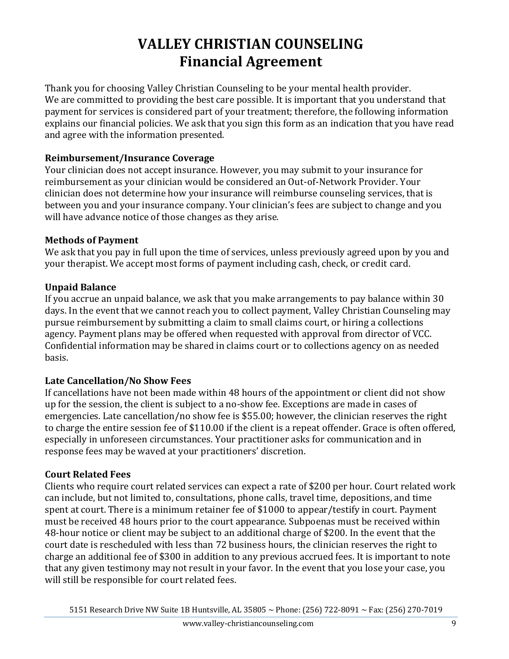# **VALLEY CHRISTIAN COUNSELING Financial Agreement**

Thank you for choosing Valley Christian Counseling to be your mental health provider. We are committed to providing the best care possible. It is important that you understand that payment for services is considered part of your treatment; therefore, the following information explains our financial policies. We ask that you sign this form as an indication that you have read and agree with the information presented.

## **Reimbursement/Insurance Coverage**

Your clinician does not accept insurance. However, you may submit to your insurance for reimbursement as your clinician would be considered an Out-of-Network Provider. Your clinician does not determine how your insurance will reimburse counseling services, that is between you and your insurance company. Your clinician's fees are subject to change and you will have advance notice of those changes as they arise.

## **Methods of Payment**

We ask that you pay in full upon the time of services, unless previously agreed upon by you and your therapist. We accept most forms of payment including cash, check, or credit card.

# **Unpaid Balance**

If you accrue an unpaid balance, we ask that you make arrangements to pay balance within 30 days. In the event that we cannot reach you to collect payment, Valley Christian Counseling may pursue reimbursement by submitting a claim to small claims court, or hiring a collections agency. Payment plans may be offered when requested with approval from director of VCC. Confidential information may be shared in claims court or to collections agency on as needed basis.

# **Late Cancellation/No Show Fees**

If cancellations have not been made within 48 hours of the appointment or client did not show up for the session, the client is subject to a no-show fee. Exceptions are made in cases of emergencies. Late cancellation/no show fee is \$55.00; however, the clinician reserves the right to charge the entire session fee of \$110.00 if the client is a repeat offender. Grace is often offered, especially in unforeseen circumstances. Your practitioner asks for communication and in response fees may be waved at your practitioners' discretion.

# **Court Related Fees**

Clients who require court related services can expect a rate of \$200 per hour. Court related work can include, but not limited to, consultations, phone calls, travel time, depositions, and time spent at court. There is a minimum retainer fee of \$1000 to appear/testify in court. Payment must be received 48 hours prior to the court appearance. Subpoenas must be received within 48-hour notice or client may be subject to an additional charge of \$200. In the event that the court date is rescheduled with less than 72 business hours, the clinician reserves the right to charge an additional fee of \$300 in addition to any previous accrued fees. It is important to note that any given testimony may not result in your favor. In the event that you lose your case, you will still be responsible for court related fees.